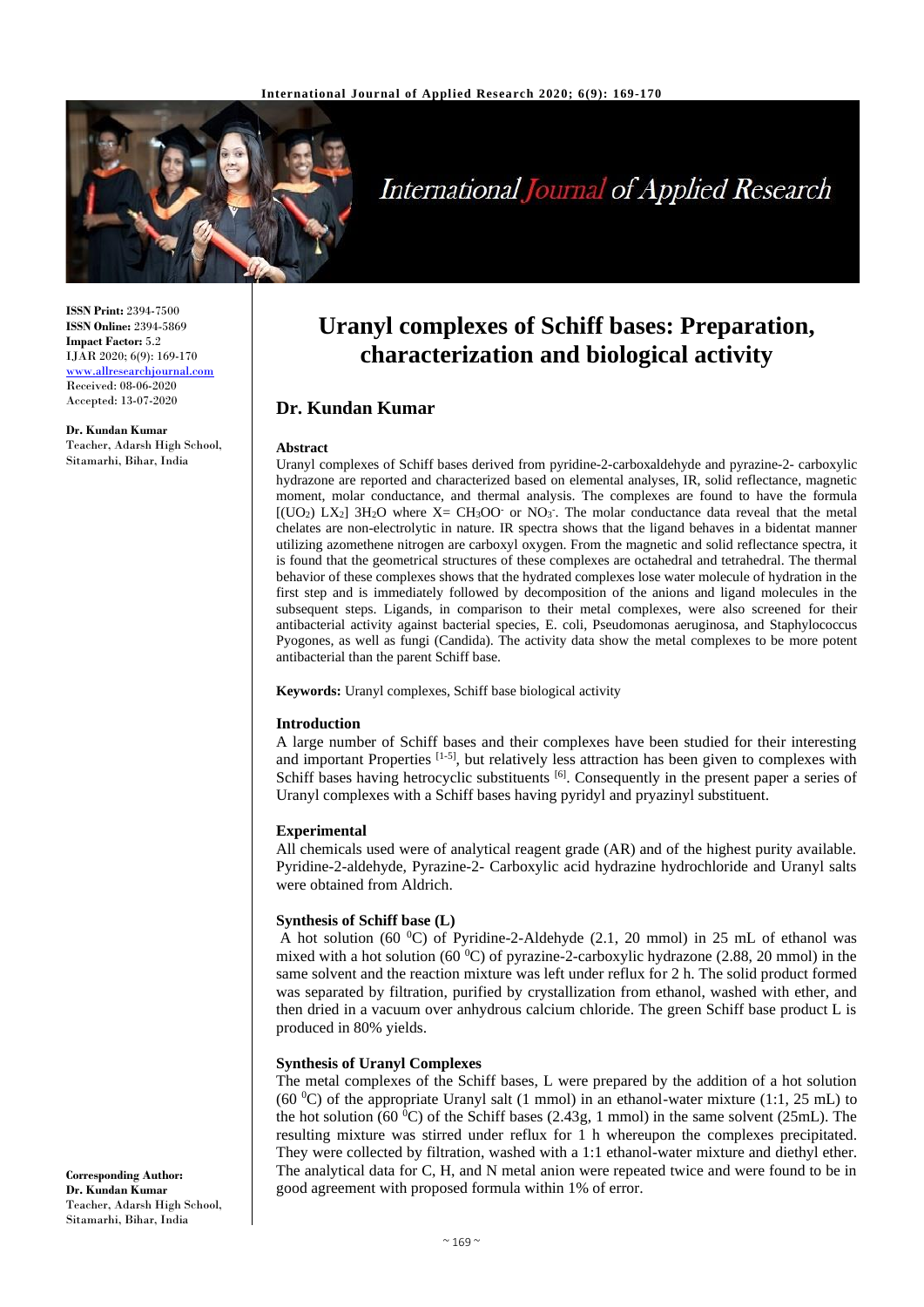

# **International Journal of Applied Research**

**ISSN Print:** 2394-7500 **ISSN Online:** 2394-5869 **Impact Factor:** 5.2 IJAR 2020; 6(9): 169-170 [www.allresearchjournal.com](http://www.allresearchjournal.com/) Received: 08-06-2020 Accepted: 13-07-2020

**Dr. Kundan Kumar** Teacher, Adarsh High School, Sitamarhi, Bihar, India

## **Uranyl complexes of Schiff bases: Preparation, characterization and biological activity**

### **Dr. Kundan Kumar**

#### **Abstract**

Uranyl complexes of Schiff bases derived from pyridine-2-carboxaldehyde and pyrazine-2- carboxylic hydrazone are reported and characterized based on elemental analyses, IR, solid reflectance, magnetic moment, molar conductance, and thermal analysis. The complexes are found to have the formula  $[(UO<sub>2</sub>) LX<sub>2</sub>] 3H<sub>2</sub>O where X= CH<sub>3</sub>OO $\cdot$  or NO<sub>3</sub>. The molar conductance data reveal that the metal$ chelates are non-electrolytic in nature. IR spectra shows that the ligand behaves in a bidentat manner utilizing azomethene nitrogen are carboxyl oxygen. From the magnetic and solid reflectance spectra, it is found that the geometrical structures of these complexes are octahedral and tetrahedral. The thermal behavior of these complexes shows that the hydrated complexes lose water molecule of hydration in the first step and is immediately followed by decomposition of the anions and ligand molecules in the subsequent steps. Ligands, in comparison to their metal complexes, were also screened for their antibacterial activity against bacterial species, E. coli, Pseudomonas aeruginosa, and Staphylococcus Pyogones*,* as well as fungi (Candida). The activity data show the metal complexes to be more potent antibacterial than the parent Schiff base.

**Keywords:** Uranyl complexes, Schiff base biological activity

#### **Introduction**

A large number of Schiff bases and their complexes have been studied for their interesting and important Properties  $[1-5]$ , but relatively less attraction has been given to complexes with Schiff bases having hetrocyclic substituents [6]. Consequently in the present paper a series of Uranyl complexes with a Schiff bases having pyridyl and pryazinyl substituent.

#### **Experimental**

All chemicals used were of analytical reagent grade (AR) and of the highest purity available. Pyridine-2-aldehyde, Pyrazine-2- Carboxylic acid hydrazine hydrochloride and Uranyl salts were obtained from Aldrich.

#### **Synthesis of Schiff base (L)**

A hot solution (60  $^0C$ ) of Pyridine-2-Aldehyde (2.1, 20 mmol) in 25 mL of ethanol was mixed with a hot solution (60  $^{\circ}$ C) of pyrazine-2-carboxylic hydrazone (2.88, 20 mmol) in the same solvent and the reaction mixture was left under reflux for 2 h. The solid product formed was separated by filtration, purified by crystallization from ethanol, washed with ether, and then dried in a vacuum over anhydrous calcium chloride. The green Schiff base product L is produced in 80% yields.

#### **Synthesis of Uranyl Complexes**

The metal complexes of the Schiff bases, L were prepared by the addition of a hot solution (60  $^{\circ}$ C) of the appropriate Uranyl salt (1 mmol) in an ethanol-water mixture (1:1, 25 mL) to the hot solution (60  $^{\circ}$ C) of the Schiff bases (2.43g, 1 mmol) in the same solvent (25mL). The resulting mixture was stirred under reflux for 1 h whereupon the complexes precipitated. They were collected by filtration, washed with a 1:1 ethanol-water mixture and diethyl ether. The analytical data for C, H, and N metal anion were repeated twice and were found to be in good agreement with proposed formula within 1% of error.

**Corresponding Author: Dr. Kundan Kumar** Teacher, Adarsh High School, Sitamarhi, Bihar, India